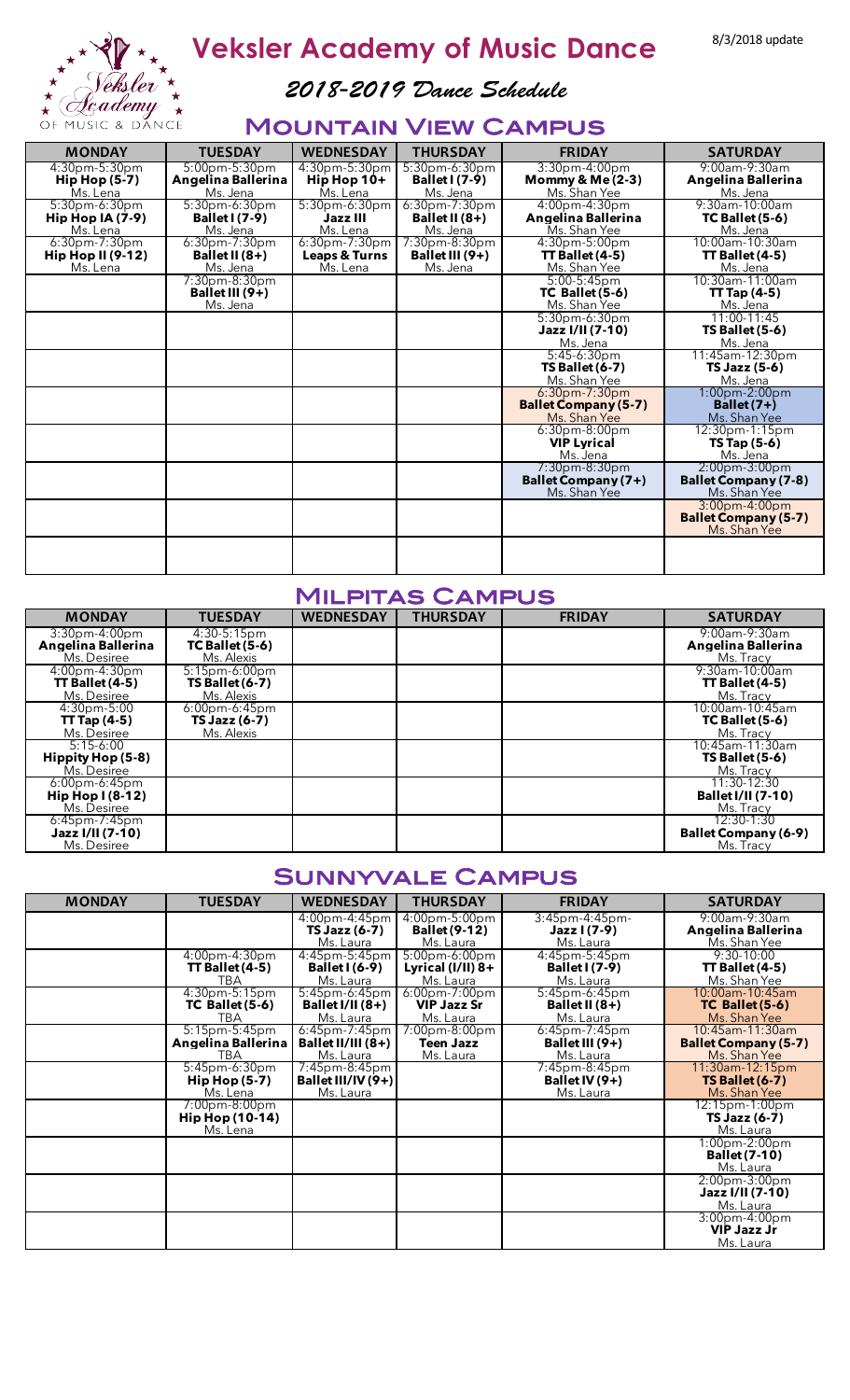

Veksler Academy of Music Dance 8/3/2018 update

*2018-2019 Dance Schedule*

### Mountain View Campus

| <b>MONDAY</b>                                                               | <b>TUESDAY</b>                                         | <b>WEDNESDAY</b>                                         | <b>THURSDAY</b>                                           | <b>FRIDAY</b>                                                   | <b>SATURDAY</b>                                                 |
|-----------------------------------------------------------------------------|--------------------------------------------------------|----------------------------------------------------------|-----------------------------------------------------------|-----------------------------------------------------------------|-----------------------------------------------------------------|
| $4:30pm-5:30pm$<br>$\mathsf{Hip}\,\mathsf{Hop}\,\mathsf{(5-7)}$<br>Ms. Lena | $5:00$ pm $-5:30$ pm<br>Angelina Ballerina<br>Ms. Jena | $4:30pm-5:30pm$<br>Hip Hop $10+$<br>Ms. Lena             | $5:30$ pm-6: $30$ pm<br><b>Ballet I</b> (7-9)<br>Ms. Jena | $3:30$ pm-4:00pm<br>Mommy $& Me(2-3)$<br>Ms. Shan Yee           | $9:00$ am- $9:30$ am<br>Angelina Ballerina<br>Ms. Jena          |
| $5:30pm-6:30pm$<br>Hip Hop $IA(7-9)$<br>Ms. Lena                            | $5:30$ pm-6:30pm<br><b>Ballet I</b> (7-9)<br>Ms. Jena  | $5:30pm-6:30pm$<br>Jazz III<br>Ms. Lena                  | $6:30$ pm-7:30pm<br>Ballet II $(8+)$<br>Ms. Jena          | $4:00$ pm- $4:30$ pm<br>Angelina Ballerina<br>Ms. Shan Yee      | 9:30am-10:00am<br>$TC$ Ballet $(5-6)$<br>Ms. Jena               |
| $6:30$ pm-7:30pm<br>Hip Hop II $(9-12)$<br>Ms. Lena                         | $6:30$ pm-7:30pm<br>Ballet II $(8+)$<br>Ms. Jena       | $6:30$ pm-7:30pm<br><b>Leaps &amp; Turns</b><br>Ms. Lena | 7:30pm-8:30pm<br>Ballet III $(9+)$<br>Ms. Jena            | $4:30pm-5:00pm$<br>$TT$ Ballet $(4-5)$<br>Ms. Shan Yee          | $10:00$ am-10:30am<br>$TT$ Ballet (4-5)<br>Ms. Jena             |
|                                                                             | $7:30pm-8:30pm$<br>Ballet III (9+)<br>Ms. Jena         |                                                          |                                                           | $5:00-5:45$ pm<br>$TC$ Ballet $(5-6)$<br>Ms. Shan Yee           | 10:30am-11:00am<br>$TT$ Tap (4-5)<br>Ms. Jena                   |
|                                                                             |                                                        |                                                          |                                                           | $5:30$ pm-6:30pm<br>Jazz I/II (7-10)<br>Ms. Jena                | $11:00-11:45$<br>$TS$ Ballet $(5-6)$<br>Ms. Jena                |
|                                                                             |                                                        |                                                          |                                                           | $5:45-6:30pm$<br>$TS$ Ballet $(6-7)$<br>Ms. Shan Yee            | 11:45am-12:30pm<br>TS Jazz (5-6)<br>Ms. Jena                    |
|                                                                             |                                                        |                                                          |                                                           | $6:30$ pm-7:30pm<br><b>Ballet Company (5-7)</b><br>Ms. Shan Yee | $1:00$ pm-2:00pm<br>Ballet $(7+)$<br>Ms. Shan Yee               |
|                                                                             |                                                        |                                                          |                                                           | $6:30$ pm-8:00pm<br><b>VIP Lyrical</b><br>Ms. Jena              | $12:30$ pm-1:15pm<br>$TS$ Tap $(5-6)$<br>Ms. Jena               |
|                                                                             |                                                        |                                                          |                                                           | $7:30pm-8:30pm$<br>Ballet Company (7+)<br>Ms. Shan Yee          | $2:00pm-3:00pm$<br><b>Ballet Company (7-8)</b><br>Ms. Shan Yee  |
|                                                                             |                                                        |                                                          |                                                           |                                                                 | $3:00$ pm-4:00pm<br><b>Ballet Company (5-7)</b><br>Ms. Shan Yee |
|                                                                             |                                                        |                                                          |                                                           |                                                                 |                                                                 |

#### Milpitas Campus

| <b>MONDAY</b>        | <b>TUESDAY</b>         | <b>WEDNESDAY</b> | <b>THURSDAY</b> | <b>FRIDAY</b> | <b>SATURDAY</b>             |
|----------------------|------------------------|------------------|-----------------|---------------|-----------------------------|
| $3:30$ pm-4:00pm     | $4:30-5:15$ pm         |                  |                 |               | $9:00$ am- $9:30$ am        |
| Angelina Ballerina   | $TC$ Ballet $(5-6)$    |                  |                 |               | Angelina Ballerina          |
| Ms. Desiree          | Ms. Alexis             |                  |                 |               | Ms. Tracy                   |
| $4:00$ pm- $4:30$ pm | $5:15$ pm-6:00pm       |                  |                 |               | 9:30am-10:00am              |
| $TT$ Ballet $(4-5)$  | <b>TS Ballet (6-7)</b> |                  |                 |               | $TT$ Ballet (4-5)           |
| Ms. Desiree          | Ms. Alexis             |                  |                 |               | Ms. Tracy                   |
| $4:30pm-5:00$        | $6:00$ pm-6:45pm       |                  |                 |               | 10:00am-10:45am             |
| $TT$ Tap (4-5)       | <b>TS Jazz (6-7)</b>   |                  |                 |               | $TC$ Ballet $(5-6)$         |
| Ms. Desiree          | Ms. Alexis             |                  |                 |               | Ms. Tracy                   |
| $5:15-6:00$          |                        |                  |                 |               | 10:45am-11:30am             |
| Hippity Hop (5-8)    |                        |                  |                 |               | $TS$ Ballet $(5-6)$         |
| Ms. Desiree          |                        |                  |                 |               | Ms. Tracy                   |
| $6:00$ pm-6:45pm     |                        |                  |                 |               | $11:30-12:30$               |
| Hip Hop $(8-12)$     |                        |                  |                 |               | <b>Ballet I/II (7-10)</b>   |
| Ms. Desiree          |                        |                  |                 |               | Ms. Tracy                   |
| $6:45$ pm-7:45pm     |                        |                  |                 |               | $12:30-1:30$                |
| Jazz I/II (7-10)     |                        |                  |                 |               | <b>Ballet Company (6-9)</b> |
| Ms. Desiree          |                        |                  |                 |               | Ms. Tracy                   |

#### Sunnyvale Campus

| <b>MONDAY</b> | <b>TUESDAY</b>         | <b>WEDNESDAY</b>      | <b>THURSDAY</b>      | <b>FRIDAY</b>         | <b>SATURDAY</b>             |
|---------------|------------------------|-----------------------|----------------------|-----------------------|-----------------------------|
|               |                        | 4:00pm-4:45pm         | $4:00$ pm-5:00pm     | $3:45$ pm-4:45pm-     | $9:00$ am- $9:30$ am        |
|               |                        | $TS$ Jazz $(6-7)$     | <b>Ballet (9-12)</b> | Jazz I (7-9)          | Angelina Ballerina          |
|               |                        | Ms. Laura             | Ms. Laura            | Ms. Laura             | Ms. Shan Yee                |
|               | $4:00pm-4:30pm$        | $4:45$ pm $-5:45$ pm  | $5:00pm - 6:00pm$    | $4:45$ pm- $5:45$ pm  | $9:30-10:00$                |
|               | $TT$ Ballet (4-5)      | <b>Ballet I (6-9)</b> | Lyrical $(I/II)$ 8+  | <b>Ballet I</b> (7-9) | $TT$ Ballet (4-5)           |
|               | <b>TBA</b>             | Ms. Laura             | Ms. Laura            | Ms. Laura             | Ms. Shan Yee                |
|               | $4:30pm-5:15pm$        | $5:45$ pm-6:45pm      | $6:00$ pm-7:00pm     | $5:45$ pm-6:45pm      | 10:00am-10:45am             |
|               | TC Ballet (5-6)        | Ballet I/II $(8+)$    | <b>VIP Jazz Sr</b>   | Ballet II $(8+)$      | TC Ballet (5-6)             |
|               | <b>TBA</b>             | Ms. Laura             | Ms. Laura            | Ms. Laura             | Ms. Shan Yee                |
|               | $5:15$ pm $-5:45$ pm   | $6:45$ pm-7:45pm      | $7:00$ pm-8:00pm     | $6:45$ pm-7:45pm      | 10:45am-11:30am             |
|               | Angelina Ballerina     | Ballet $II/III(8+)$   | <b>Teen Jazz</b>     | Ballet III $(9+)$     | <b>Ballet Company (5-7)</b> |
|               | TBA                    | Ms. Laura             | Ms. Laura            | Ms. Laura             | Ms. Shan Yee                |
|               | $5:45$ pm-6:30pm       | $7:45$ pm-8:45pm      |                      | 7:45pm-8:45pm         | 11:30am-12:15pm             |
|               | <b>Hip Hop (5-7)</b>   | Ballet III/IV $(9+)$  |                      | Ballet IV $(9+)$      | <b>TS Ballet (6-7)</b>      |
|               | Ms. Lena               | Ms. Laura             |                      | Ms. Laura             | Ms. Shan Yee                |
|               | $7:00$ pm-8:00pm       |                       |                      |                       | $12:15$ pm-1:00pm           |
|               | <b>Hip Hop (10-14)</b> |                       |                      |                       | <b>TS Jazz (6-7)</b>        |
|               | Ms. Lena               |                       |                      |                       | Ms. Laura                   |
|               |                        |                       |                      |                       | $1:00$ pm-2:00pm            |
|               |                        |                       |                      |                       | <b>Ballet (7-10)</b>        |
|               |                        |                       |                      |                       | Ms. Laura                   |
|               |                        |                       |                      |                       | $2:00pm-3:00pm$             |
|               |                        |                       |                      |                       | Jazz I/II (7-10)            |
|               |                        |                       |                      |                       | Ms. Laura                   |
|               |                        |                       |                      |                       | $3:00$ pm-4:00pm            |
|               |                        |                       |                      |                       | <b>VIP Jazz Jr</b>          |
|               |                        |                       |                      |                       | Ms. Laura                   |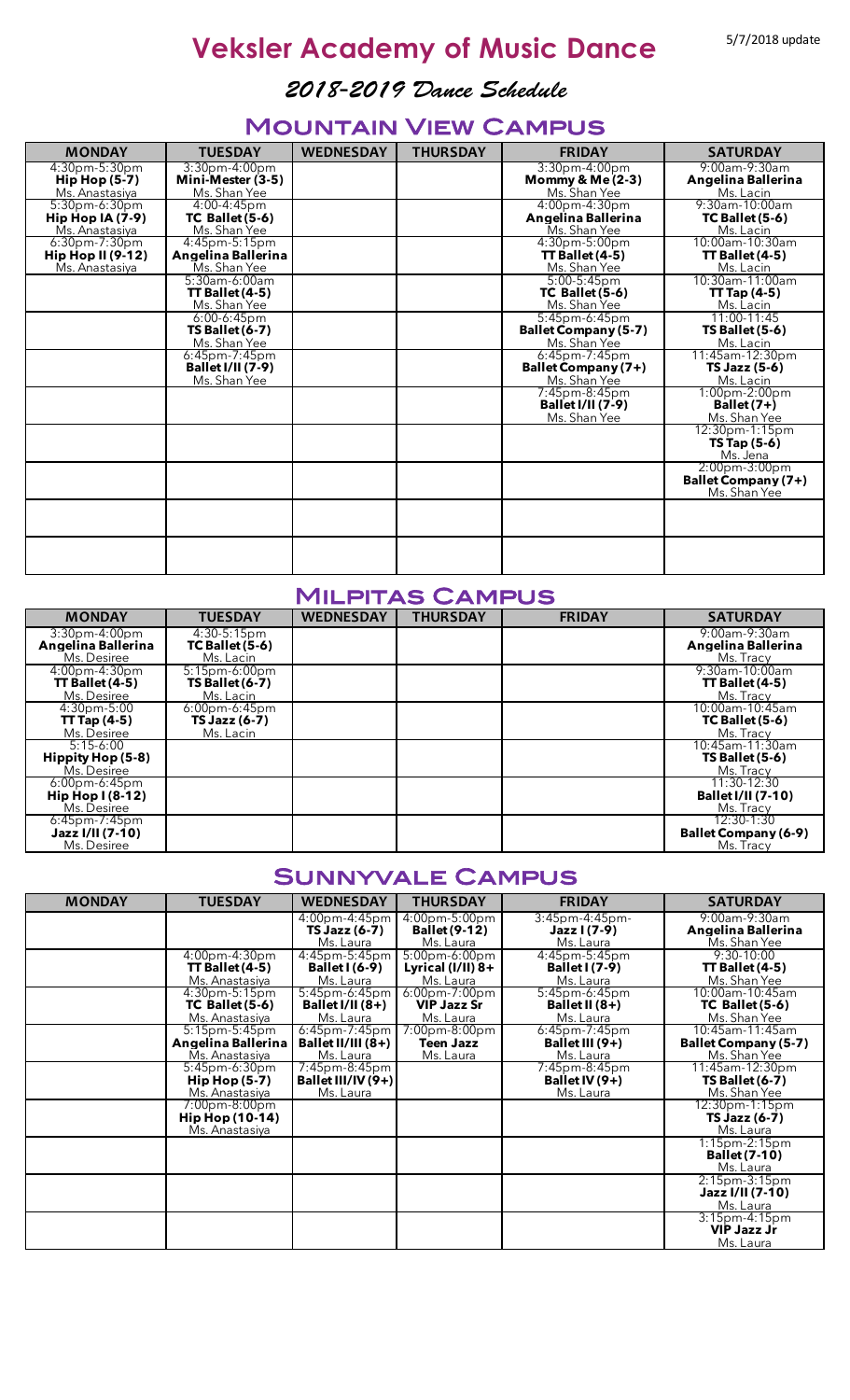# **Veksler Academy of Music Dance** 5/7/2018 update

*2018-2019 Dance Schedule*

### Mountain View Campus

| <b>MONDAY</b>                        | <b>TUESDAY</b>                           | <b>WEDNESDAY</b> | <b>THURSDAY</b> | <b>FRIDAY</b>                               | <b>SATURDAY</b>                 |
|--------------------------------------|------------------------------------------|------------------|-----------------|---------------------------------------------|---------------------------------|
| $4:30$ pm-5:30pm                     | $3:30$ pm-4:00pm                         |                  |                 | $3:30$ pm-4:00pm                            | $9:00$ am- $9:30$ am            |
| $H$ ip Hop $(5-7)$<br>Ms. Anastasiya | Mini-Mester (3-5)<br>Ms. Shan Yee        |                  |                 | <b>Mommy &amp; Me (2-3)</b><br>Ms. Shan Yee | Angelina Ballerina<br>Ms. Lacin |
| $5:30$ pm-6:30pm                     | 4:00-4:45pm                              |                  |                 | $4:00$ pm- $4:30$ pm                        | $9:30$ am-10:00am               |
| Hip Hop $IA(7-9)$                    | TC Ballet (5-6)                          |                  |                 | Angelina Ballerina                          | $TC$ Ballet $(5-6)$             |
| Ms. Anastasiya<br>$6:30$ pm-7:30pm   | Ms. Shan Yee<br>$4:45$ pm- $5:15$ pm     |                  |                 | Ms. Shan Yee<br>$4:30pm-5:00pm$             | Ms. Lacin<br>10:00am-10:30am    |
| Hip Hop II $(9-12)$                  | Angelina Ballerina                       |                  |                 | $TT$ Ballet $(4-5)$                         | $TT$ Ballet (4-5)               |
| Ms. Anastasiya                       | Ms. Shan Yee                             |                  |                 | Ms. Shan Yee                                | Ms. Lacin                       |
|                                      | 5:30am-6:00am                            |                  |                 | $5:00-5:45$ pm                              | 10:30am-11:00am                 |
|                                      | $TT$ Ballet $(4-5)$<br>Ms. Shan Yee      |                  |                 | TC Ballet (5-6)<br>Ms. Shan Yee             | $TT$ Tap (4-5)                  |
|                                      | $6:00-6:45$ pm                           |                  |                 | $5:45$ pm-6:45pm                            | Ms. Lacin<br>$11:00-11:45$      |
|                                      | <b>TS Ballet (6-7)</b>                   |                  |                 | <b>Ballet Company (5-7)</b>                 | $TS$ Ballet $(5-6)$             |
|                                      | Ms. Shan Yee                             |                  |                 | Ms. Shan Yee                                | Ms. Lacin                       |
|                                      | $6:45$ pm-7:45pm                         |                  |                 | $6:45$ pm-7:45pm                            | 11:45am-12:30pm                 |
|                                      | <b>Ballet I/II (7-9)</b><br>Ms. Shan Yee |                  |                 | Ballet Company (7+)<br>Ms. Shan Yee         | TS Jazz (5-6)<br>Ms. Lacin      |
|                                      |                                          |                  |                 | 7:45pm-8:45pm                               | $1:00$ pm- $2:00$ pm            |
|                                      |                                          |                  |                 | <b>Ballet I/II (7-9)</b>                    | $Ballet(7+)$                    |
|                                      |                                          |                  |                 | Ms. Shan Yee                                | Ms. Shan Yee                    |
|                                      |                                          |                  |                 |                                             | 12:30pm-1:15pm                  |
|                                      |                                          |                  |                 |                                             | $TS$ Tap $(5-6)$<br>Ms. Jena    |
|                                      |                                          |                  |                 |                                             | $2:00pm-3:00pm$                 |
|                                      |                                          |                  |                 |                                             | Ballet Company (7+)             |
|                                      |                                          |                  |                 |                                             | Ms. Shan Yee                    |
|                                      |                                          |                  |                 |                                             |                                 |
|                                      |                                          |                  |                 |                                             |                                 |
|                                      |                                          |                  |                 |                                             |                                 |
|                                      |                                          |                  |                 |                                             |                                 |

#### Milpitas Campus

| <b>MONDAY</b>                                              | <b>TUESDAY</b>                                          | <b>WEDNESDAY</b> | <b>THURSDAY</b> | <b>FRIDAY</b> | <b>SATURDAY</b>                                          |
|------------------------------------------------------------|---------------------------------------------------------|------------------|-----------------|---------------|----------------------------------------------------------|
| $3:30$ pm-4:00pm<br>Angelina Ballerina<br>Ms. Desiree      | $4:30-5:15$ pm<br>TC Ballet (5-6)<br>Ms. Lacin          |                  |                 |               | $9:00$ am- $9:30$ am<br>Angelina Ballerina<br>Ms. Tracy  |
| $4:00$ pm- $4:30$ pm<br>$TT$ Ballet $(4-5)$<br>Ms. Desiree | $5:15$ pm-6:00pm<br><b>TS Ballet (6-7)</b><br>Ms. Lacin |                  |                 |               | $9:30$ am-10:00am<br>$\Pi$ Ballet (4-5)<br>Ms. Tracy     |
| $4:30pm-5:00$<br>$TT$ Tap (4-5)<br>Ms. Desiree             | $6:00$ pm-6:45pm<br><b>TS Jazz (6-7)</b><br>Ms. Lacin   |                  |                 |               | 10:00am-10:45am<br>$TC$ Ballet $(5-6)$<br>Ms. Tracy      |
| $5:15-6:00$<br>Hippity Hop (5-8)<br>Ms. Desiree            |                                                         |                  |                 |               | 10:45am-11:30am<br>$TS$ Ballet $(5-6)$<br>Ms. Tracy      |
| $6:00$ pm-6:45pm<br>Hip Hop $(8-12)$<br>Ms. Desiree        |                                                         |                  |                 |               | $11:30-12:30$<br><b>Ballet I/II (7-10)</b><br>Ms. Tracy  |
| $6:45$ pm-7:45pm<br>Jazz I/II (7-10)<br>Ms. Desiree        |                                                         |                  |                 |               | $12:30-1:30$<br><b>Ballet Company (6-9)</b><br>Ms. Tracy |

### Sunnyvale Campus

| <b>MONDAY</b> | <b>TUESDAY</b>                               | <b>WEDNESDAY</b>      | <b>THURSDAY</b>      | <b>FRIDAY</b>         | <b>SATURDAY</b>             |
|---------------|----------------------------------------------|-----------------------|----------------------|-----------------------|-----------------------------|
|               |                                              | 4:00pm-4:45pm         | $4:00$ pm-5:00pm     | $3:45$ pm-4:45pm-     | $9:00$ am- $9:30$ am        |
|               |                                              | <b>TS Jazz (6-7)</b>  | <b>Ballet (9-12)</b> | Jazz I (7-9)          | Angelina Ballerina          |
|               |                                              | Ms. Laura             | Ms. Laura            | Ms. Laura             | Ms. Shan Yee                |
|               | $4:00$ pm- $4:30$ pm                         | $4:45$ pm $-5:45$ pm  | $5:00pm - 6:00pm$    | $4:45$ pm $-5:45$ pm  | $9:30-10:00$                |
|               | $TT$ Ballet (4-5)                            | <b>Ballet I (6-9)</b> | Lyrical $(I/II)$ 8+  | <b>Ballet I</b> (7-9) | $TT$ Ballet (4-5)           |
|               | Ms. Anastasiya                               | Ms. Laura             | Ms. Laura            | Ms. Laura             | Ms. Shan Yee                |
|               | $4:30pm-5:15pm$                              | $5:45$ pm-6:45pm      | $6:00$ pm-7:00pm     | $5:45$ pm-6:45pm      | 10:00am-10:45am             |
|               | TC Ballet (5-6)                              | Ballet I/II $(8+)$    | <b>VIP Jazz Sr</b>   | Ballet II $(8+)$      | TC Ballet (5-6)             |
|               | Ms. Anastasiya                               | Ms. Laura             | Ms. Laura            | Ms. Laura             | Ms. Shan Yee                |
|               | $5:15$ pm- $5:45$ pm                         | $6:45$ pm-7:45pm      | $7:00pm-8:00pm$      | $6:45$ pm-7:45pm      | 10:45am-11:45am             |
|               | Angelina Ballerina                           | Ballet II/III $(8+)$  | <b>Teen Jazz</b>     | Ballet III $(9+)$     | <b>Ballet Company (5-7)</b> |
|               | Ms. Anastasiya                               | Ms. Laura             | Ms. Laura            | Ms. Laura             | Ms. Shan Yee                |
|               | 5:45pm-6:30pm                                | $7:45$ pm-8:45pm      |                      | 7:45pm-8:45pm         | 11:45am-12:30pm             |
|               | $\mathsf{Hip}\,\mathsf{Hop}\,\mathsf{(5-7)}$ | Ballet III/IV $(9+)$  |                      | Ballet IV $(9+)$      | <b>TS Ballet (6-7)</b>      |
|               | Ms. Anastasiya                               | Ms. Laura             |                      | Ms. Laura             | Ms. Shan Yee                |
|               | 7:00pm-8:00pm                                |                       |                      |                       | $12:30pm-1:15pm$            |
|               | <b>Hip Hop (10-14)</b>                       |                       |                      |                       | TS Jazz (6-7)               |
|               | Ms. Anastasiya                               |                       |                      |                       | Ms. Laura                   |
|               |                                              |                       |                      |                       | $1:15$ pm- $2:15$ pm        |
|               |                                              |                       |                      |                       | <b>Ballet (7-10)</b>        |
|               |                                              |                       |                      |                       | Ms. Laura                   |
|               |                                              |                       |                      |                       | $2:15pm-3:15pm$             |
|               |                                              |                       |                      |                       | Jazz I/II (7-10)            |
|               |                                              |                       |                      |                       | Ms. Laura                   |
|               |                                              |                       |                      |                       | $3:15$ pm-4:15pm            |
|               |                                              |                       |                      |                       | <b>VIP Jazz Jr</b>          |
|               |                                              |                       |                      |                       | Ms. Laura                   |